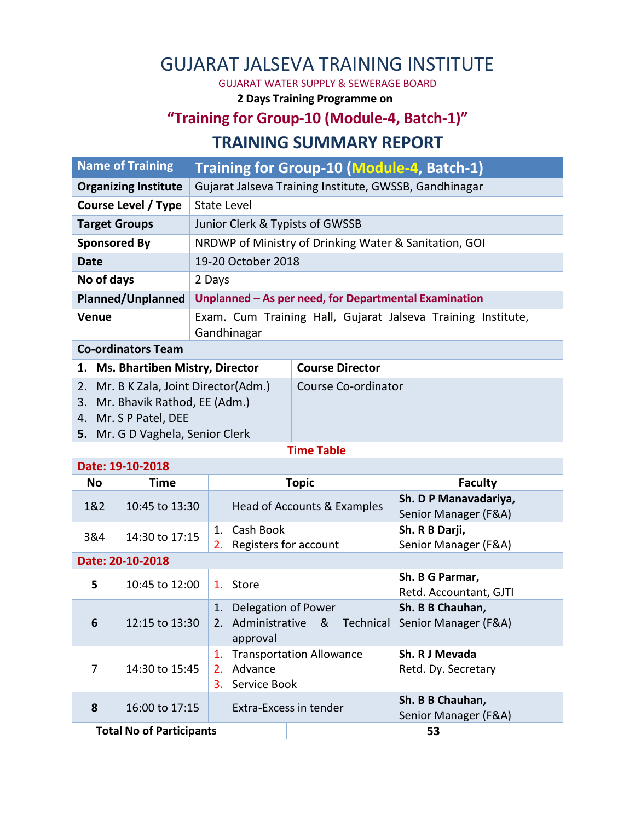## GUJARAT JALSEVA TRAINING INSTITUTE

GUJARAT WATER SUPPLY & SEWERAGE BOARD

**2 Days Training Programme on**

## **"Training for Group-10 (Module-4, Batch-1)" TRAINING SUMMARY REPORT**

|                             | <b>Name of Training</b>                                                                   | Training for Group-10 (Module-4, Batch-1)                                   |                                 |                                                                        |  |  |  |
|-----------------------------|-------------------------------------------------------------------------------------------|-----------------------------------------------------------------------------|---------------------------------|------------------------------------------------------------------------|--|--|--|
| <b>Organizing Institute</b> |                                                                                           | Gujarat Jalseva Training Institute, GWSSB, Gandhinagar                      |                                 |                                                                        |  |  |  |
| Course Level / Type         |                                                                                           | <b>State Level</b>                                                          |                                 |                                                                        |  |  |  |
| <b>Target Groups</b>        |                                                                                           | Junior Clerk & Typists of GWSSB                                             |                                 |                                                                        |  |  |  |
| <b>Sponsored By</b>         |                                                                                           | NRDWP of Ministry of Drinking Water & Sanitation, GOI                       |                                 |                                                                        |  |  |  |
| <b>Date</b>                 |                                                                                           |                                                                             | 19-20 October 2018              |                                                                        |  |  |  |
| No of days                  |                                                                                           | 2 Days                                                                      |                                 |                                                                        |  |  |  |
| <b>Planned/Unplanned</b>    |                                                                                           | Unplanned - As per need, for Departmental Examination                       |                                 |                                                                        |  |  |  |
| <b>Venue</b>                |                                                                                           | Exam. Cum Training Hall, Gujarat Jalseva Training Institute,<br>Gandhinagar |                                 |                                                                        |  |  |  |
|                             | <b>Co-ordinators Team</b>                                                                 |                                                                             |                                 |                                                                        |  |  |  |
|                             | 1. Ms. Bhartiben Mistry, Director                                                         |                                                                             | <b>Course Director</b>          |                                                                        |  |  |  |
| 3.                          | Mr. Bhavik Rathod, EE (Adm.)<br>4. Mr. S P Patel, DEE<br>5. Mr. G D Vaghela, Senior Clerk | 2. Mr. B K Zala, Joint Director(Adm.)                                       | Course Co-ordinator             |                                                                        |  |  |  |
|                             | <b>Time Table</b>                                                                         |                                                                             |                                 |                                                                        |  |  |  |
|                             | Date: 19-10-2018                                                                          |                                                                             |                                 |                                                                        |  |  |  |
| <b>No</b>                   | <b>Time</b>                                                                               |                                                                             | <b>Topic</b>                    | <b>Faculty</b>                                                         |  |  |  |
|                             |                                                                                           |                                                                             |                                 |                                                                        |  |  |  |
| 1&2                         | 10:45 to 13:30                                                                            |                                                                             | Head of Accounts & Examples     | Sh. D P Manavadariya,<br>Senior Manager (F&A)                          |  |  |  |
| 3&4                         | 14:30 to 17:15                                                                            | Cash Book<br>1.<br>Registers for account<br>2.                              |                                 | Sh. R B Darji,<br>Senior Manager (F&A)                                 |  |  |  |
|                             | Date: 20-10-2018                                                                          |                                                                             |                                 |                                                                        |  |  |  |
| 5                           | 10:45 to 12:00                                                                            | 1. Store                                                                    |                                 | Sh. B G Parmar,<br>Retd. Accountant, GJTI                              |  |  |  |
| 6                           | 12:15 to 13:30                                                                            | Delegation of Power<br>1.<br>approval                                       |                                 | Sh. B B Chauhan,<br>2. Administrative & Technical Senior Manager (F&A) |  |  |  |
| $\overline{7}$              | 14:30 to 15:45                                                                            | 1.<br>2. Advance<br>3. Service Book                                         | <b>Transportation Allowance</b> | Sh. R J Mevada<br>Retd. Dy. Secretary                                  |  |  |  |
| 8                           | 16:00 to 17:15                                                                            |                                                                             | <b>Extra-Excess in tender</b>   | Sh. B B Chauhan,<br>Senior Manager (F&A)                               |  |  |  |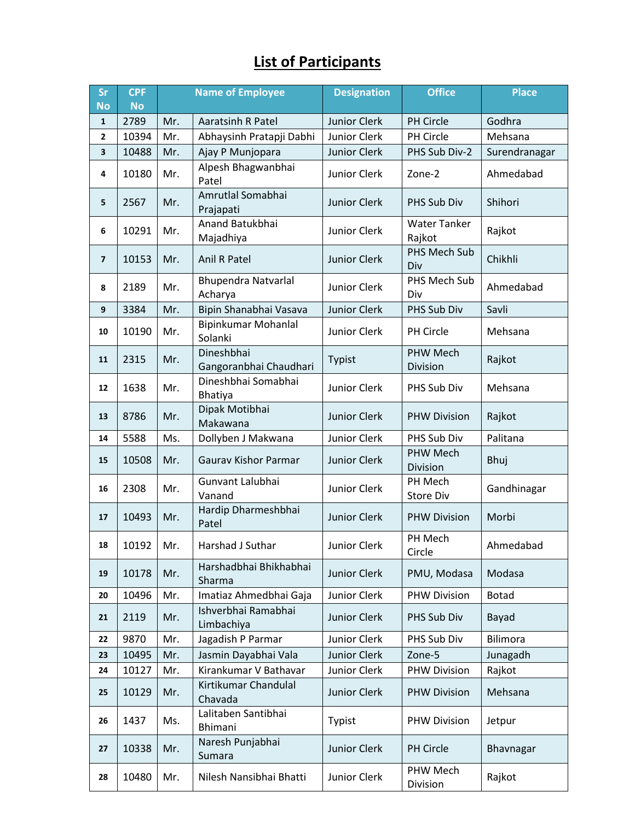## **List of Participants**

| <b>Sr</b>      | <b>CPF</b> | <b>Name of Employee</b> |                                       | <b>Designation</b>  | <b>Office</b>                 | <b>Place</b>    |
|----------------|------------|-------------------------|---------------------------------------|---------------------|-------------------------------|-----------------|
| <b>No</b>      | <b>No</b>  |                         |                                       |                     |                               |                 |
| $\mathbf{1}$   | 2789       | Mr.                     | <b>Aaratsinh R Patel</b>              | Junior Clerk        | PH Circle                     | Godhra          |
| 2              | 10394      | Mr.                     | Abhaysinh Pratapji Dabhi              | Junior Clerk        | PH Circle                     | Mehsana         |
| 3              | 10488      | Mr.                     | Ajay P Munjopara                      | Junior Clerk        | PHS Sub Div-2                 | Surendranagar   |
| 4              | 10180      | Mr.                     | Alpesh Bhagwanbhai<br>Patel           | Junior Clerk        | Zone-2                        | Ahmedabad       |
| 5              | 2567       | Mr.                     | Amrutlal Somabhai<br>Prajapati        | <b>Junior Clerk</b> | PHS Sub Div                   | Shihori         |
| 6              | 10291      | Mr.                     | Anand Batukbhai<br>Majadhiya          | Junior Clerk        | <b>Water Tanker</b><br>Rajkot | Rajkot          |
| $\overline{7}$ | 10153      | Mr.                     | Anil R Patel                          | Junior Clerk        | PHS Mech Sub<br>Div           | Chikhli         |
| 8              | 2189       | Mr.                     | <b>Bhupendra Natvarlal</b><br>Acharya | Junior Clerk        | PHS Mech Sub<br>Div           | Ahmedabad       |
| 9              | 3384       | Mr.                     | Bipin Shanabhai Vasava                | Junior Clerk        | PHS Sub Div                   | Savli           |
| 10             | 10190      | Mr.                     | Bipinkumar Mohanlal<br>Solanki        | Junior Clerk        | PH Circle                     | Mehsana         |
| 11             | 2315       | Mr.                     | Dineshbhai<br>Gangoranbhai Chaudhari  | Typist              | PHW Mech<br>Division          | Rajkot          |
| 12             | 1638       | Mr.                     | Dineshbhai Somabhai<br><b>Bhatiya</b> | Junior Clerk        | PHS Sub Div                   | Mehsana         |
| 13             | 8786       | Mr.                     | Dipak Motibhai<br>Makawana            | Junior Clerk        | <b>PHW Division</b>           | Rajkot          |
| 14             | 5588       | Ms.                     | Dollyben J Makwana                    | Junior Clerk        | PHS Sub Div                   | Palitana        |
| 15             | 10508      | Mr.                     | <b>Gaurav Kishor Parmar</b>           | Junior Clerk        | PHW Mech<br>Division          | Bhuj            |
| 16             | 2308       | Mr.                     | Gunvant Lalubhai<br>Vanand            | Junior Clerk        | PH Mech<br>Store Div          | Gandhinagar     |
| 17             | 10493      | Mr.                     | Hardip Dharmeshbhai<br>Patel          | <b>Junior Clerk</b> | <b>PHW Division</b>           | Morbi           |
| 18             | 10192      | Mr.                     | Harshad J Suthar                      | Junior Clerk        | PH Mech<br>Circle             | Ahmedabad       |
| 19             | 10178      | Mr.                     | Harshadbhai Bhikhabhai<br>Sharma      | Junior Clerk        | PMU, Modasa                   | Modasa          |
| 20             | 10496      | Mr.                     | Imatiaz Ahmedbhai Gaja                | Junior Clerk        | <b>PHW Division</b>           | <b>Botad</b>    |
| 21             | 2119       | Mr.                     | Ishverbhai Ramabhai<br>Limbachiya     | Junior Clerk        | PHS Sub Div                   | Bayad           |
| 22             | 9870       | Mr.                     | Jagadish P Parmar                     | Junior Clerk        | PHS Sub Div                   | <b>Bilimora</b> |
| 23             | 10495      | Mr.                     | Jasmin Dayabhai Vala                  | Junior Clerk        | Zone-5                        | Junagadh        |
| 24             | 10127      | Mr.                     | Kirankumar V Bathavar                 | Junior Clerk        | <b>PHW Division</b>           | Rajkot          |
| 25             | 10129      | Mr.                     | Kirtikumar Chandulal<br>Chavada       | Junior Clerk        | <b>PHW Division</b>           | Mehsana         |
| 26             | 1437       | Ms.                     | Lalitaben Santibhai<br>Bhimani        | Typist              | <b>PHW Division</b>           | Jetpur          |
| 27             | 10338      | Mr.                     | Naresh Punjabhai<br>Sumara            | Junior Clerk        | PH Circle                     | Bhavnagar       |
| 28             | 10480      | Mr.                     | Nilesh Nansibhai Bhatti               | Junior Clerk        | PHW Mech<br>Division          | Rajkot          |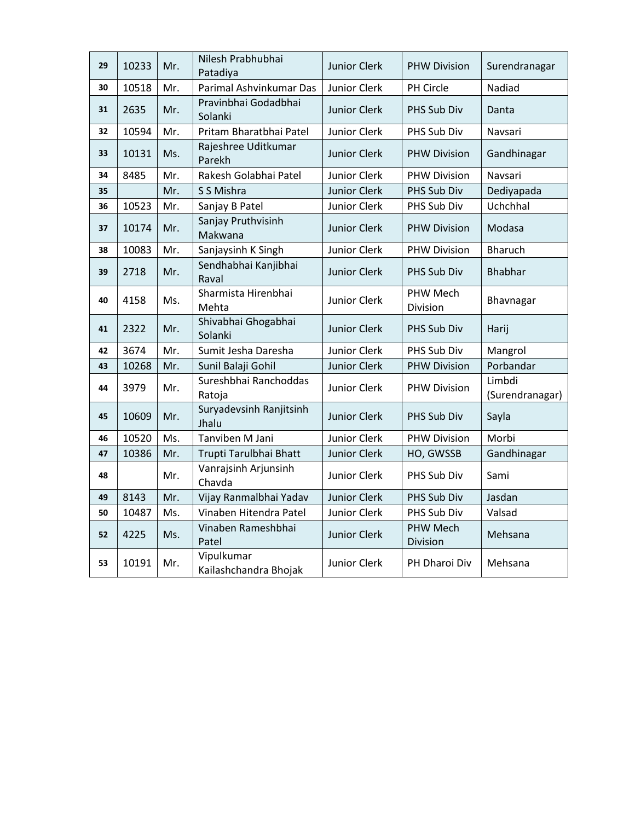| 29 | 10233 | Mr. | Nilesh Prabhubhai<br>Patadiya       | Junior Clerk        | <b>PHW Division</b>  | Surendranagar             |
|----|-------|-----|-------------------------------------|---------------------|----------------------|---------------------------|
| 30 | 10518 | Mr. | Parimal Ashvinkumar Das             | Junior Clerk        | PH Circle            | Nadiad                    |
| 31 | 2635  | Mr. | Pravinbhai Godadbhai<br>Solanki     | <b>Junior Clerk</b> | PHS Sub Div          | Danta                     |
| 32 | 10594 | Mr. | Pritam Bharatbhai Patel             | Junior Clerk        | PHS Sub Div          | Navsari                   |
| 33 | 10131 | Ms. | Rajeshree Uditkumar<br>Parekh       | <b>Junior Clerk</b> | <b>PHW Division</b>  | Gandhinagar               |
| 34 | 8485  | Mr. | Rakesh Golabhai Patel               | Junior Clerk        | <b>PHW Division</b>  | Navsari                   |
| 35 |       | Mr. | S S Mishra                          | Junior Clerk        | PHS Sub Div          | Dediyapada                |
| 36 | 10523 | Mr. | Sanjay B Patel                      | Junior Clerk        | PHS Sub Div          | Uchchhal                  |
| 37 | 10174 | Mr. | Sanjay Pruthvisinh<br>Makwana       | <b>Junior Clerk</b> | <b>PHW Division</b>  | Modasa                    |
| 38 | 10083 | Mr. | Sanjaysinh K Singh                  | Junior Clerk        | <b>PHW Division</b>  | <b>Bharuch</b>            |
| 39 | 2718  | Mr. | Sendhabhai Kanjibhai<br>Raval       | Junior Clerk        | <b>PHS Sub Div</b>   | <b>Bhabhar</b>            |
| 40 | 4158  | Ms. | Sharmista Hirenbhai<br>Mehta        | Junior Clerk        | PHW Mech<br>Division | Bhavnagar                 |
| 41 | 2322  | Mr. | Shivabhai Ghogabhai<br>Solanki      | <b>Junior Clerk</b> | PHS Sub Div          | Harij                     |
| 42 | 3674  | Mr. | Sumit Jesha Daresha                 | Junior Clerk        | PHS Sub Div          | Mangrol                   |
| 43 | 10268 | Mr. | Sunil Balaji Gohil                  | Junior Clerk        | <b>PHW Division</b>  | Porbandar                 |
| 44 | 3979  | Mr. | Sureshbhai Ranchoddas<br>Ratoja     | Junior Clerk        | <b>PHW Division</b>  | Limbdi<br>(Surendranagar) |
| 45 | 10609 | Mr. | Suryadevsinh Ranjitsinh<br>Jhalu    | <b>Junior Clerk</b> | PHS Sub Div          | Sayla                     |
| 46 | 10520 | Ms. | Tanviben M Jani                     | Junior Clerk        | <b>PHW Division</b>  | Morbi                     |
| 47 | 10386 | Mr. | Trupti Tarulbhai Bhatt              | Junior Clerk        | HO, GWSSB            | Gandhinagar               |
| 48 |       | Mr. | Vanrajsinh Arjunsinh<br>Chavda      | Junior Clerk        | PHS Sub Div          | Sami                      |
| 49 | 8143  | Mr. | Vijay Ranmalbhai Yadav              | <b>Junior Clerk</b> | PHS Sub Div          | Jasdan                    |
| 50 | 10487 | Ms. | Vinaben Hitendra Patel              | Junior Clerk        | PHS Sub Div          | Valsad                    |
| 52 | 4225  | Ms. | Vinaben Rameshbhai<br>Patel         | Junior Clerk        | PHW Mech<br>Division | Mehsana                   |
| 53 | 10191 | Mr. | Vipulkumar<br>Kailashchandra Bhojak | Junior Clerk        | PH Dharoi Div        | Mehsana                   |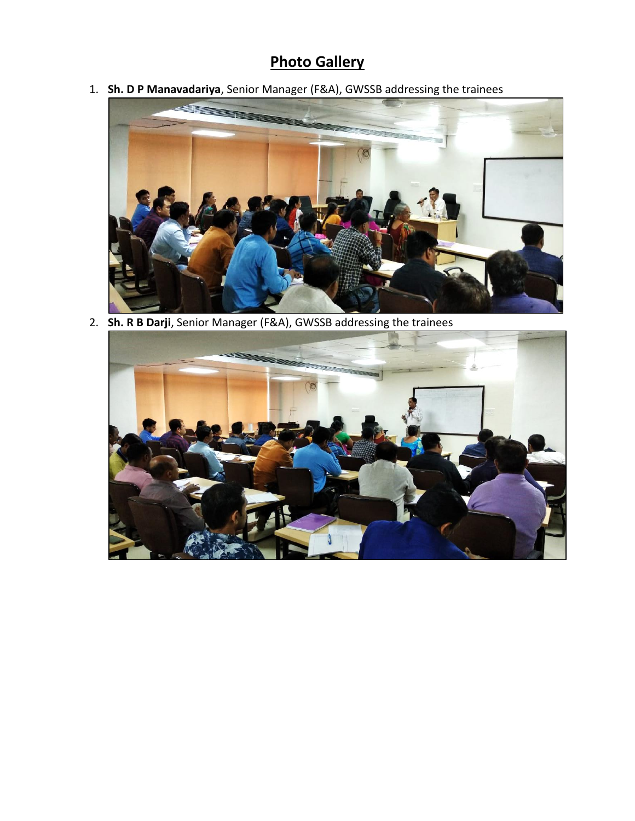## **Photo Gallery**

1. **Sh. D P Manavadariya**, Senior Manager (F&A), GWSSB addressing the trainees



2. **Sh. R B Darji**, Senior Manager (F&A), GWSSB addressing the trainees